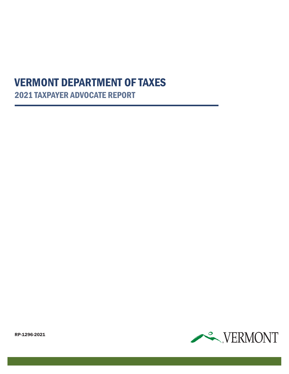# 2021 TAXPAYER ADVOCATE REPORT VERMONT DEPARTMENT OF TAXES



RP-1296-2021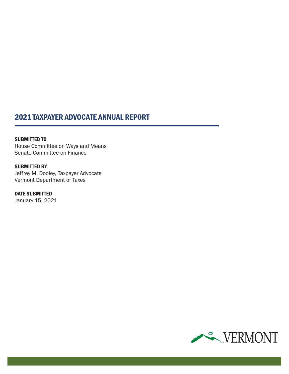### 2021 TAXPAYER ADVOCATE ANNUAL REPORT

SUBMITTED TO House Committee on Ways and Means Senate Committee on Finance

**SUBMITTED BY** Jeffrey M. Dooley, Taxpayer Advocate Vermont Department of Taxes

DATE SUBMITTED January 15, 2021

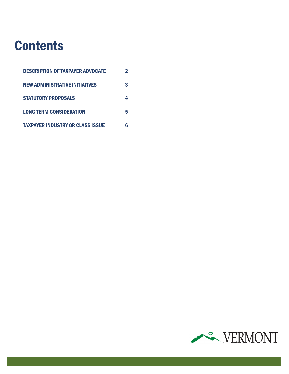# **Contents**

| <b>DESCRIPTION OF TAXPAYER ADVOCATE</b> | 2 |
|-----------------------------------------|---|
| <b>NEW ADMINISTRATIVE INITIATIVES</b>   | 3 |
| <b>STATUTORY PROPOSALS</b>              | 4 |
| <b>LONG TERM CONSIDERATION</b>          | 5 |
| <b>TAXPAYER INDUSTRY OR CLASS ISSUE</b> | 6 |

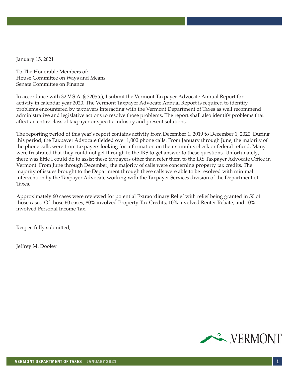January 15, 2021

To The Honorable Members of: House Committee on Ways and Means Senate Committee on Finance

In accordance with 32 V.S.A. § 3205(c), I submit the Vermont Taxpayer Advocate Annual Report for activity in calendar year 2020. The Vermont Taxpayer Advocate Annual Report is required to identify problems encountered by taxpayers interacting with the Vermont Department of Taxes as well recommend administrative and legislative actions to resolve those problems. The report shall also identify problems that affect an entire class of taxpayer or specific industry and present solutions.

The reporting period of this year's report contains activity from December 1, 2019 to December 1, 2020. During this period, the Taxpayer Advocate fielded over 1,000 phone calls. From January through June, the majority of the phone calls were from taxpayers looking for information on their stimulus check or federal refund. Many were frustrated that they could not get through to the IRS to get answer to these questions. Unfortunately, there was little I could do to assist these taxpayers other than refer them to the IRS Taxpayer Advocate Office in Vermont. From June through December, the majority of calls were concerning property tax credits. The majority of issues brought to the Department through these calls were able to be resolved with minimal intervention by the Taxpayer Advocate working with the Taxpayer Services division of the Department of Taxes.

Approximately 60 cases were reviewed for potential Extraordinary Relief with relief being granted in 50 of those cases. Of those 60 cases, 80% involved Property Tax Credits, 10% involved Renter Rebate, and 10% involved Personal Income Tax.

Respectfully submitted,

Jeffrey M. Dooley

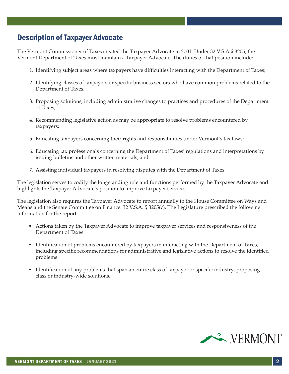### Description of Taxpayer Advocate

The Vermont Commissioner of Taxes created the Taxpayer Advocate in 2001. Under 32 V.S.A § 3205, the Vermont Department of Taxes must maintain a Taxpayer Advocate. The duties of that position include:

- 1. Identifying subject areas where taxpayers have difficulties interacting with the Department of Taxes;
- 2. Identifying classes of taxpayers or specific business sectors who have common problems related to the Department of Taxes;
- 3. Proposing solutions, including administrative changes to practices and procedures of the Department of Taxes;
- 4. Recommending legislative action as may be appropriate to resolve problems encountered by taxpayers;
- 5. Educating taxpayers concerning their rights and responsibilities under Vermont's tax laws;
- 6. Educating tax professionals concerning the Department of Taxes' regulations and interpretations by issuing bulletins and other written materials; and
- 7. Assisting individual taxpayers in resolving disputes with the Department of Taxes.

The legislation serves to codify the longstanding role and functions performed by the Taxpayer Advocate and highlights the Taxpayer Advocate's position to improve taxpayer services.

The legislation also requires the Taxpayer Advocate to report annually to the House Committee on Ways and Means and the Senate Committee on Finance. 32 V.S.A. § 3205(c). The Legislature prescribed the following information for the report:

- Actions taken by the Taxpayer Advocate to improve taxpayer services and responsiveness of the Department of Taxes
- Identification of problems encountered by taxpayers in interacting with the Department of Taxes, including specific recommendations for administrative and legislative actions to resolve the identified problems
- Identification of any problems that span an entire class of taxpayer or specific industry, proposing class or industry‐wide solutions.

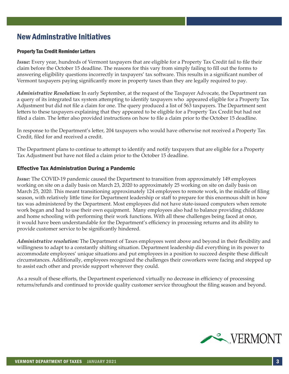### New Adminstrative Initiatives

#### Property Tax Credit Reminder Letters

*Issue:* Every year, hundreds of Vermont taxpayers that are eligible for a Property Tax Credit fail to file their claim before the October 15 deadline. The reasons for this vary from simply failing to fill out the forms to answering eligibility questions incorrectly in taxpayers' tax software. This results in a significant number of Vermont taxpayers paying significantly more in property taxes than they are legally required to pay.

*Administrative Resolution:* In early September, at the request of the Taxpayer Advocate, the Department ran a query of its integrated tax system attempting to identify taxpayers who appeared eligible for a Property Tax Adjustment but did not file a claim for one. The query produced a list of 563 taxpayers. The Department sent letters to these taxpayers explaining that they appeared to be eligible for a Property Tax Credit but had not filed a claim. The letter also provided instructions on how to file a claim prior to the October 15 deadline.

In response to the Department's letter, 204 taxpayers who would have otherwise not received a Property Tax Credit, filed for and received a credit.

The Department plans to continue to attempt to identify and notify taxpayers that are eligible for a Property Tax Adjustment but have not filed a claim prior to the October 15 deadline.

#### Effective Tax Administration During a Pandemic

*Issue:* The COVID-19 pandemic caused the Department to transition from approximately 149 employees working on site on a daily basis on March 23, 2020 to approximately 25 working on site on daily basis on March 25, 2020. This meant transitioning approximately 124 employees to remote work, in the middle of filing season, with relatively little time for Department leadership or staff to prepare for this enormous shift in how tax was administered by the Department. Most employees did not have state-issued computers when remote work began and had to use their own equipment. Many employees also had to balance providing childcare and home schooling with performing their work functions. With all these challenges being faced at once, it would have been understandable for the Department's efficiency in processing returns and its ability to provide customer service to be significantly hindered.

*Administrative resolution:* The Department of Taxes employees went above and beyond in their flexibility and willingness to adapt to a constantly shifting situation. Department leadership did everything in its power to accommodate employees' unique situations and put employees in a position to succeed despite these difficult circumstances. Additionally, employees recognized the challenges their coworkers were facing and stepped up to assist each other and provide support wherever they could.

As a result of these efforts, the Department experienced virtually no decrease in efficiency of processing returns/refunds and continued to provide quality customer service throughout the filing season and beyond.

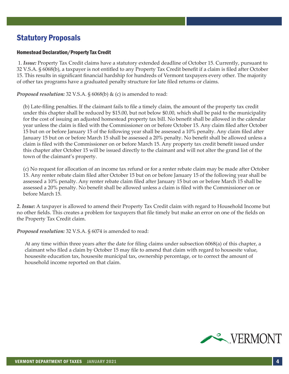### Statutory Proposals

#### Homestead Declaration/Property Tax Credit

 1. *Issue:* Property Tax Credit claims have a statutory extended deadline of October 15. Currently, pursuant to 32 V.S.A. § 6068(b), a taxpayer is not entitled to any Property Tax Credit benefit if a claim is filed after October 15. This results in significant financial hardship for hundreds of Vermont taxpayers every other. The majority of other tax programs have a graduated penalty structure for late filed returns or claims.

*Proposed resolution:* 32 V.S.A. § 6068(b) & (c) is amended to read:

(b) Late-filing penalties. If the claimant fails to file a timely claim, the amount of the property tax credit under this chapter shall be reduced by \$15.00, but not below \$0.00, which shall be paid to the municipality for the cost of issuing an adjusted homestead property tax bill. No benefit shall be allowed in the calendar year unless the claim is filed with the Commissioner on or before October 15. Any claim filed after October 15 but on or before January 15 of the following year shall be assessed a 10% penalty. Any claim filed after January 15 but on or before March 15 shall be assessed a 20% penalty. No benefit shall be allowed unless a claim is filed with the Commissioner on or before March 15. Any property tax credit benefit issued under this chapter after October 15 will be issued directly to the claimant and will not alter the grand list of the town of the claimant's property.

(c) No request for allocation of an income tax refund or for a renter rebate claim may be made after October 15. Any renter rebate claim filed after October 15 but on or before January 15 of the following year shall be assessed a 10% penalty. Any renter rebate claim filed after January 15 but on or before March 15 shall be assessed a 20% penalty. No benefit shall be allowed unless a claim is filed with the Commissioner on or before March 15.

*2. Issue:* A taxpayer is allowed to amend their Property Tax Credit claim with regard to Household Income but no other fields. This creates a problem for taxpayers that file timely but make an error on one of the fields on the Property Tax Credit claim.

*Proposed resolution:* 32 V.S.A. § 6074 is amended to read:

At any time within three years after the date for filing claims under subsection 6068(a) of this chapter, a claimant who filed a claim by October 15 may file to amend that claim with regard to housesite value, housesite education tax, housesite municipal tax, ownership percentage, or to correct the amount of household income reported on that claim.

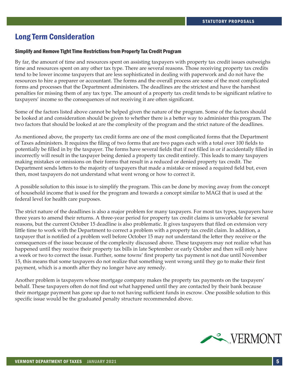### Long Term Consideration

#### Simplify and Remove Tight Time Restrictions from Property Tax Credit Program

By far, the amount of time and resources spent on assisting taxpayers with property tax credit issues outweighs time and resources spent on any other tax type. There are several reasons. Those receiving property tax credits tend to be lower income taxpayers that are less sophisticated in dealing with paperwork and do not have the resources to hire a preparer or accountant. The forms and the overall process are some of the most complicated forms and processes that the Department administers. The deadlines are the strictest and have the harshest penalties for missing them of any tax type. The amount of a property tax credit tends to be significant relative to taxpayers' income so the consequences of not receiving it are often significant.

Some of the factors listed above cannot be helped given the nature of the program. Some of the factors should be looked at and consideration should be given to whether there is a better way to administer this program. The two factors that should be looked at are the complexity of the program and the strict nature of the deadlines.

As mentioned above, the property tax credit forms are one of the most complicated forms that the Department of Taxes administers. It requires the filing of two forms that are two pages each with a total over 100 fields to potentially be filled in by the taxpayer. The forms have several fields that if not filled in or if accidentally filled in incorrectly will result in the taxpayer being denied a property tax credit entirely. This leads to many taxpayers making mistakes or omissions on their forms that result in a reduced or denied property tax credit. The Department sends letters to the majority of taxpayers that made a mistake or missed a required field but, even then, most taxpayers do not understand what went wrong or how to correct it.

A possible solution to this issue is to simplify the program. This can be done by moving away from the concept of household income that is used for the program and towards a concept similar to MAGI that is used at the federal level for health care purposes.

The strict nature of the deadlines is also a major problem for many taxpayers. For most tax types, taxpayers have three years to amend their returns. A three-year period for property tax credit claims is unworkable for several reasons, but the current October 15 deadline is also problematic. It gives taxpayers that filed on extension very little time to work with the Department to correct a problem with a property tax credit claim. In addition, a taxpayer that is notified of a problem well before October 15 may not understand the letter they receive or the consequences of the issue because of the complexity discussed above. These taxpayers may not realize what has happened until they receive their property tax bills in late September or early October and then will only have a week or two to correct the issue. Further, some towns' first property tax payment is not due until November 15, this means that some taxpayers do not realize that something went wrong until they go to make their first payment, which is a month after they no longer have any remedy.

Another problem is taxpayers whose mortgage company makes the property tax payments on the taxpayers' behalf. These taxpayers often do not find out what happened until they are contacted by their bank because their mortgage payment has gone up due to not having sufficient funds in escrow. One possible solution to this specific issue would be the graduated penalty structure recommended above.